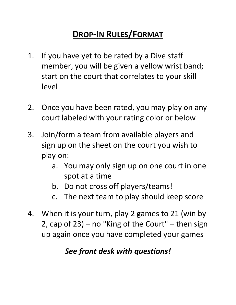# **DROP‐IN RULES/FORMAT**

- 1. If you have yet to be rated by a Dive staff member, you will be given a yellow wrist band; start on the court that correlates to your skill level
- 2. Once you have been rated, you may play on any court labeled with your rating color or below
- 3. Join/form a team from available players and sign up on the sheet on the court you wish to play on:
	- a. You may only sign up on one court in one spot at a time
	- b. Do not cross off players/teams!
	- c. The next team to play should keep score
- 4. When it is your turn, play 2 games to 21 (win by 2, cap of 23) – no "King of the Court" – then sign up again once you have completed your games

## *See front desk with questions!*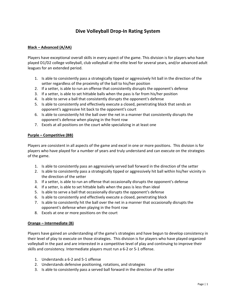### **Dive Volleyball Drop‐In Rating System**

#### **Black – Advanced (A/AA)**

Players have exceptional overall skills in every aspect of the game. This division is for players who have played D1/D2 college volleyball, club volleyball at the elite level for several years, and/or advanced adult leagues for an extended period.

- 1. Is able to consistently pass a strategically tipped or aggressively hit ball in the direction of the setter regardless of the proximity of the ball to his/her position
- 2. If a setter, is able to run an offense that consistently disrupts the opponent's defense
- 3. If a setter, is able to set hittable balls when the pass is far from his/her position
- 4. Is able to serve a ball that consistently disrupts the opponent's defense
- 5. Is able to consistently and effectively execute a closed, penetrating block that sends an opponent's aggressive hit back to the opponent's court
- 6. Is able to consistently hit the ball over the net in a manner that consistently disrupts the opponent's defense when playing in the front row
- 7. Excels at all positions on the court while specializing in at least one

#### **Purple – Competitive (BB)**

Players are consistent in all aspects of the game and excel in one or more positions. This division is for players who have played for a number of years and truly understand and can execute on the strategies of the game.

- 1. Is able to consistently pass an aggressively served ball forward in the direction of the setter
- 2. Is able to consistently pass a strategically tipped or aggressively hit ball within his/her vicinity in the direction of the setter
- 3. If a setter, is able to run an offense that occasionally disrupts the opponent's defense
- 4. If a setter, is able to set hittable balls when the pass is less than ideal
- 5. Is able to serve a ball that occasionally disrupts the opponent's defense
- 6. Is able to consistently and effectively execute a closed, penetrating block
- 7. Is able to consistently hit the ball over the net in a manner that occasionally disrupts the opponent's defense when playing in the front row
- 8. Excels at one or more positions on the court

#### **Orange – Intermediate (B)**

Players have gained an understanding of the game's strategies and have begun to develop consistency in their level of play to execute on those strategies. This division is for players who have played organized volleyball in the past and are interested in a competitive level of play and continuing to improve their skills and consistency. Intermediate players must run a 6‐2 or 5‐1 offense.

- 1. Understands a 6‐2 and 5‐1 offense
- 2. Understands defensive positioning, rotations, and strategies
- 3. Is able to consistently pass a served ball forward in the direction of the setter